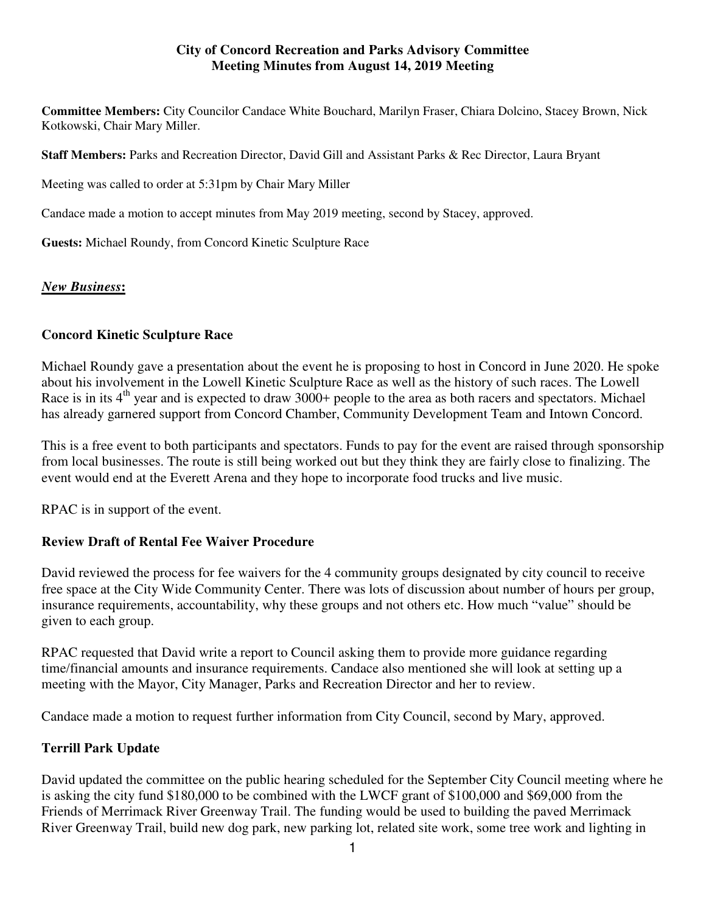#### **City of Concord Recreation and Parks Advisory Committee Meeting Minutes from August 14, 2019 Meeting**

**Committee Members:** City Councilor Candace White Bouchard, Marilyn Fraser, Chiara Dolcino, Stacey Brown, Nick Kotkowski, Chair Mary Miller.

**Staff Members:** Parks and Recreation Director, David Gill and Assistant Parks & Rec Director, Laura Bryant

Meeting was called to order at 5:31pm by Chair Mary Miller

Candace made a motion to accept minutes from May 2019 meeting, second by Stacey, approved.

**Guests:** Michael Roundy, from Concord Kinetic Sculpture Race

### *New Business***:**

### **Concord Kinetic Sculpture Race**

Michael Roundy gave a presentation about the event he is proposing to host in Concord in June 2020. He spoke about his involvement in the Lowell Kinetic Sculpture Race as well as the history of such races. The Lowell Race is in its 4<sup>th</sup> year and is expected to draw 3000+ people to the area as both racers and spectators. Michael has already garnered support from Concord Chamber, Community Development Team and Intown Concord.

This is a free event to both participants and spectators. Funds to pay for the event are raised through sponsorship from local businesses. The route is still being worked out but they think they are fairly close to finalizing. The event would end at the Everett Arena and they hope to incorporate food trucks and live music.

RPAC is in support of the event.

### **Review Draft of Rental Fee Waiver Procedure**

David reviewed the process for fee waivers for the 4 community groups designated by city council to receive free space at the City Wide Community Center. There was lots of discussion about number of hours per group, insurance requirements, accountability, why these groups and not others etc. How much "value" should be given to each group.

RPAC requested that David write a report to Council asking them to provide more guidance regarding time/financial amounts and insurance requirements. Candace also mentioned she will look at setting up a meeting with the Mayor, City Manager, Parks and Recreation Director and her to review.

Candace made a motion to request further information from City Council, second by Mary, approved.

### **Terrill Park Update**

David updated the committee on the public hearing scheduled for the September City Council meeting where he is asking the city fund \$180,000 to be combined with the LWCF grant of \$100,000 and \$69,000 from the Friends of Merrimack River Greenway Trail. The funding would be used to building the paved Merrimack River Greenway Trail, build new dog park, new parking lot, related site work, some tree work and lighting in